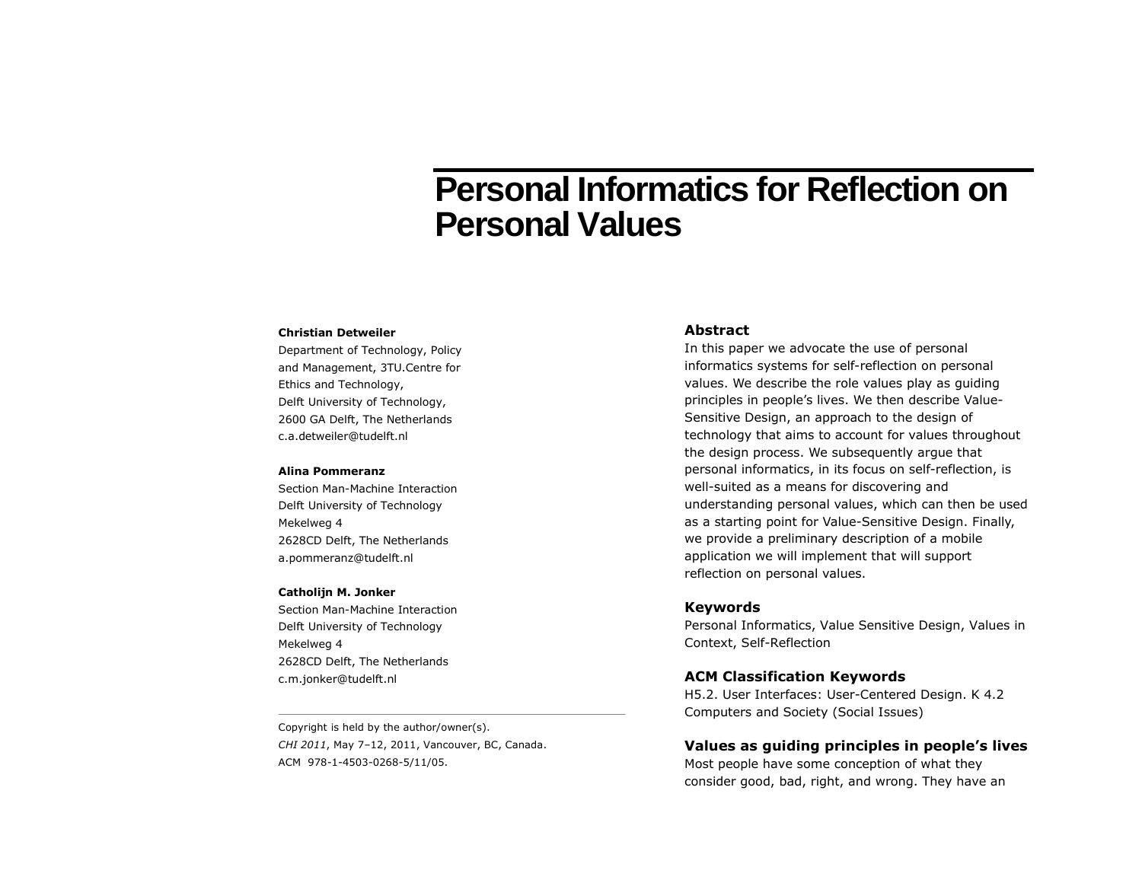# **Personal Informatics for Reflection on Personal Values**

#### **Christian Detweiler**

Department of Technology, Policy and Management, 3TU.Centre for Ethics and Technology, Delft University of Technology, 2600 GA Delft, The Netherlands c.a.detweiler@tudelft.nl

#### **Alina Pommeranz**

Section Man-Machine Interaction Delft University of Technology Mekelweg 4 2628CD Delft, The Netherlands a.pommeranz@tudelft.nl

#### **Catholijn M. Jonker**

Section Man-Machine Interaction Delft University of Technology Mekelweg 4 2628CD Delft, The Netherlands c.m.jonker@tudelft.nl

Copyright is held by the author/owner(s). *CHI 2011*, May 7–12, 2011, Vancouver, BC, Canada. ACM 978-1-4503-0268-5/11/05.

#### **Abstract**

In this paper we advocate the use of personal informatics systems for self-reflection on personal values. We describe the role values play as guiding principles in people's lives. We then describe Value-Sensitive Design, an approach to the design of technology that aims to account for values throughout the design process. We subsequently argue that personal informatics, in its focus on self-reflection, is well-suited as a means for discovering and understanding personal values, which can then be used as a starting point for Value-Sensitive Design. Finally, we provide a preliminary description of a mobile application we will implement that will support reflection on personal values.

## **Keywords**

Personal Informatics, Value Sensitive Design, Values in Context, Self-Reflection

### **ACM Classification Keywords**

H5.2. User Interfaces: User-Centered Design. K 4.2 Computers and Society (Social Issues)

## **Values as guiding principles in people's lives**

Most people have some conception of what they consider good, bad, right, and wrong. They have an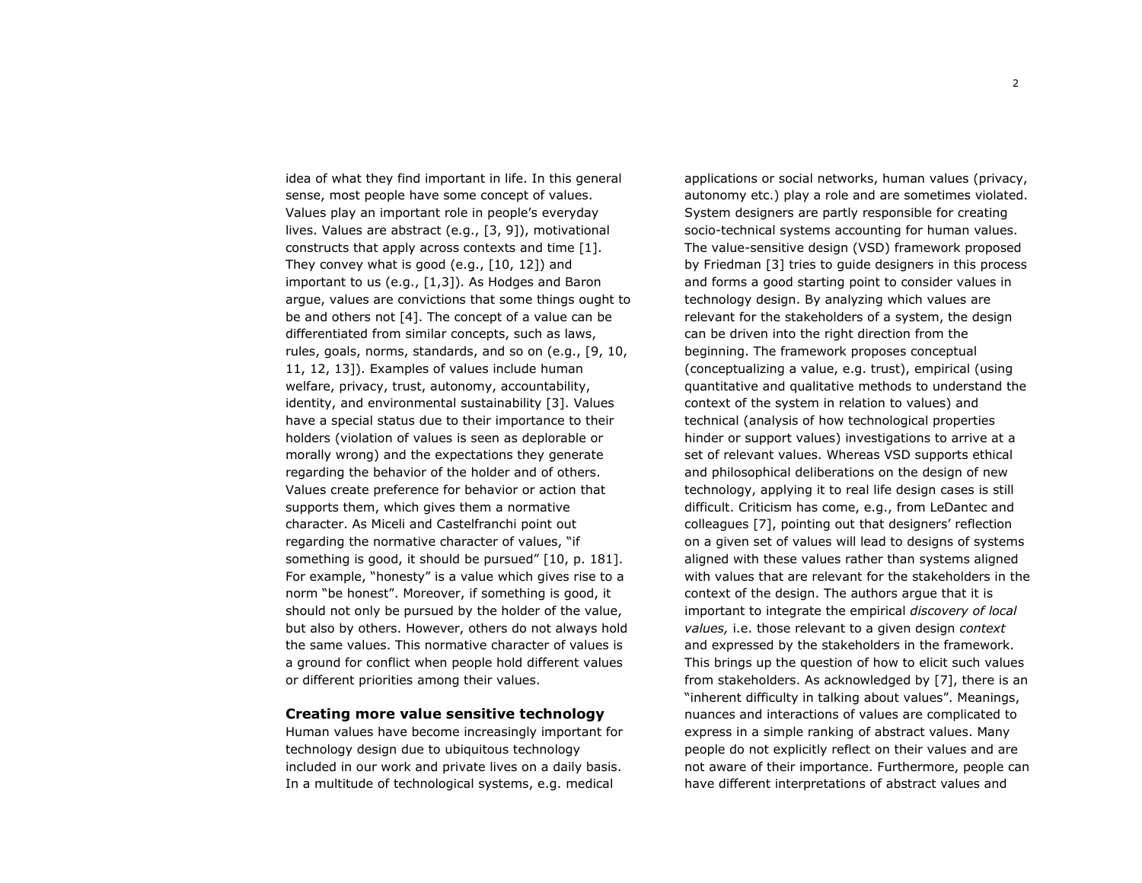idea of what they find important in life. In this general sense, most people have some concept of values. Values play an important role in people's everyday lives. Values are abstract (e.g., [3, 9]), motivational constructs that apply across contexts and time [1]. They convey what is good (e.g., [10, 12]) and important to us (e.g., [1,3]). As Hodges and Baron argue, values are convictions that some things ought to be and others not [4]. The concept of a value can be differentiated from similar concepts, such as laws, rules, goals, norms, standards, and so on (e.g., [9, 10, 11, 12, 13]). Examples of values include human welfare, privacy, trust, autonomy, accountability, identity, and environmental sustainability [3]. Values have a special status due to their importance to their holders (violation of values is seen as deplorable or morally wrong) and the expectations they generate regarding the behavior of the holder and of others. Values create preference for behavior or action that supports them, which gives them a normative character. As Miceli and Castelfranchi point out regarding the normative character of values, "if something is good, it should be pursued" [10, p. 181]. For example, "honesty" is a value which gives rise to a norm "be honest". Moreover, if something is good, it should not only be pursued by the holder of the value, but also by others. However, others do not always hold the same values. This normative character of values is a ground for conflict when people hold different values or different priorities among their values.

### **Creating more value sensitive technology**

Human values have become increasingly important for technology design due to ubiquitous technology included in our work and private lives on a daily basis. In a multitude of technological systems, e.g. medical

applications or social networks, human values (privacy, autonomy etc.) play a role and are sometimes violated. System designers are partly responsible for creating socio-technical systems accounting for human values. The value-sensitive design (VSD) framework proposed by Friedman [3] tries to guide designers in this process and forms a good starting point to consider values in technology design. By analyzing which values are relevant for the stakeholders of a system, the design can be driven into the right direction from the beginning. The framework proposes conceptual (conceptualizing a value, e.g. trust), empirical (using quantitative and qualitative methods to understand the context of the system in relation to values) and technical (analysis of how technological properties hinder or support values) investigations to arrive at a set of relevant values. Whereas VSD supports ethical and philosophical deliberations on the design of new technology, applying it to real life design cases is still difficult. Criticism has come, e.g., from LeDantec and colleagues [7], pointing out that designers' reflection on a given set of values will lead to designs of systems aligned with these values rather than systems aligned with values that are relevant for the stakeholders in the context of the design. The authors argue that it is important to integrate the empirical *discovery of local values,* i.e. those relevant to a given design *context*  and expressed by the stakeholders in the framework. This brings up the question of how to elicit such values from stakeholders. As acknowledged by [7], there is an "inherent difficulty in talking about values". Meanings, nuances and interactions of values are complicated to express in a simple ranking of abstract values. Many people do not explicitly reflect on their values and are not aware of their importance. Furthermore, people can have different interpretations of abstract values and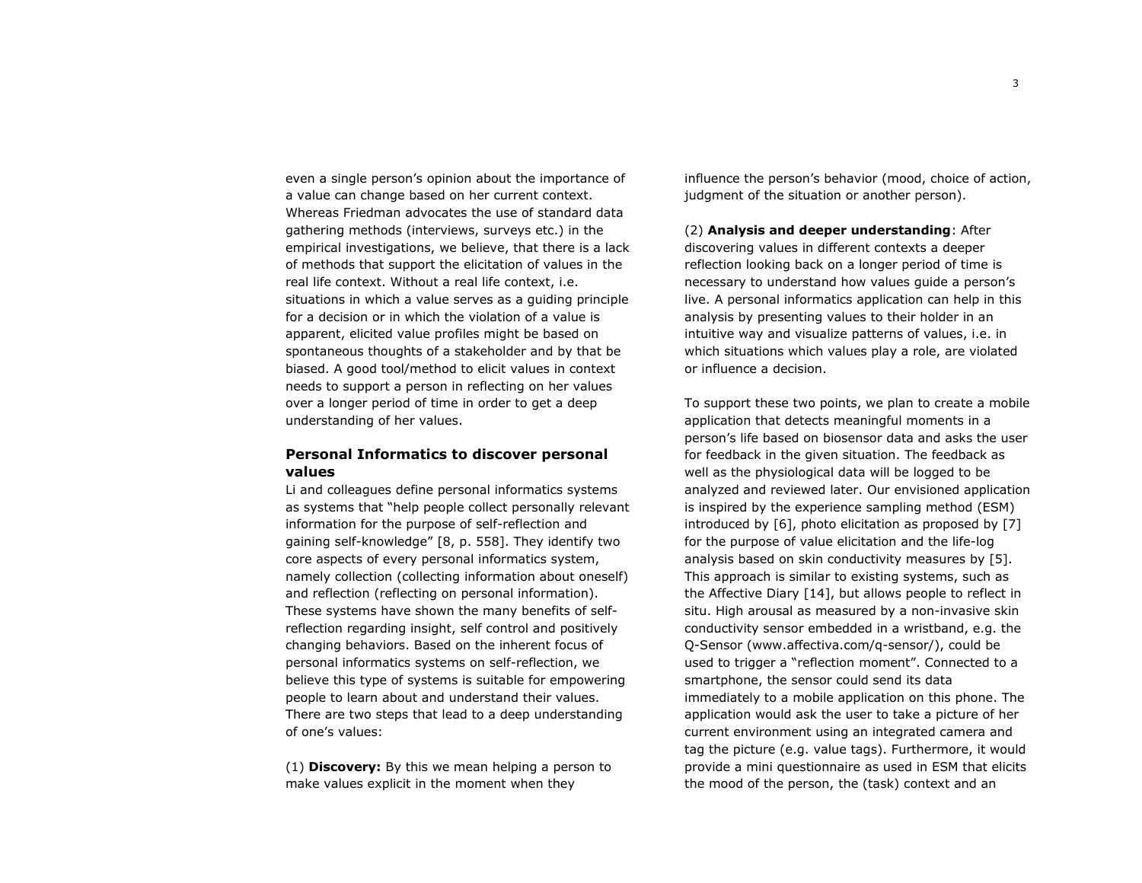even a single person's opinion about the importance of a value can change based on her current context. Whereas Friedman advocates the use of standard data gathering methods (interviews, surveys etc.) in the empirical investigations, we believe, that there is a lack of methods that support the elicitation of values in the real life context. Without a real life context, i.e. situations in which a value serves as a guiding principle for a decision or in which the violation of a value is apparent, elicited value profiles might be based on spontaneous thoughts of a stakeholder and by that be biased. A good tool/method to elicit values in context needs to support a person in reflecting on her values over a longer period of time in order to get a deep understanding of her values.

# **Personal Informatics to discover personal values**

Li and colleagues define personal informatics systems as systems that "help people collect personally relevant information for the purpose of self-reflection and gaining self-knowledge" [8, p. 558]. They identify two core aspects of every personal informatics system, namely collection (collecting information about oneself) and reflection (reflecting on personal information). These systems have shown the many benefits of selfreflection regarding insight, self control and positively changing behaviors. Based on the inherent focus of personal informatics systems on self-reflection, we believe this type of systems is suitable for empowering people to learn about and understand their values. There are two steps that lead to a deep understanding of one's values:

(1) **Discovery:** By this we mean helping a person to make values explicit in the moment when they

influence the person's behavior (mood, choice of action, judgment of the situation or another person).

(2) **Analysis and deeper understanding**: After discovering values in different contexts a deeper reflection looking back on a longer period of time is necessary to understand how values guide a person's live. A personal informatics application can help in this analysis by presenting values to their holder in an intuitive way and visualize patterns of values, i.e. in which situations which values play a role, are violated or influence a decision.

To support these two points, we plan to create a mobile application that detects meaningful moments in a person's life based on biosensor data and asks the user for feedback in the given situation. The feedback as well as the physiological data will be logged to be analyzed and reviewed later. Our envisioned application is inspired by the experience sampling method (ESM) introduced by [6], photo elicitation as proposed by [7] for the purpose of value elicitation and the life-log analysis based on skin conductivity measures by [5]. This approach is similar to existing systems, such as the Affective Diary [14], but allows people to reflect in situ. High arousal as measured by a non-invasive skin conductivity sensor embedded in a wristband, e.g. the Q-Sensor (www.affectiva.com/q-sensor/), could be used to trigger a "reflection moment". Connected to a smartphone, the sensor could send its data immediately to a mobile application on this phone. The application would ask the user to take a picture of her current environment using an integrated camera and tag the picture (e.g. value tags). Furthermore, it would provide a mini questionnaire as used in ESM that elicits the mood of the person, the (task) context and an